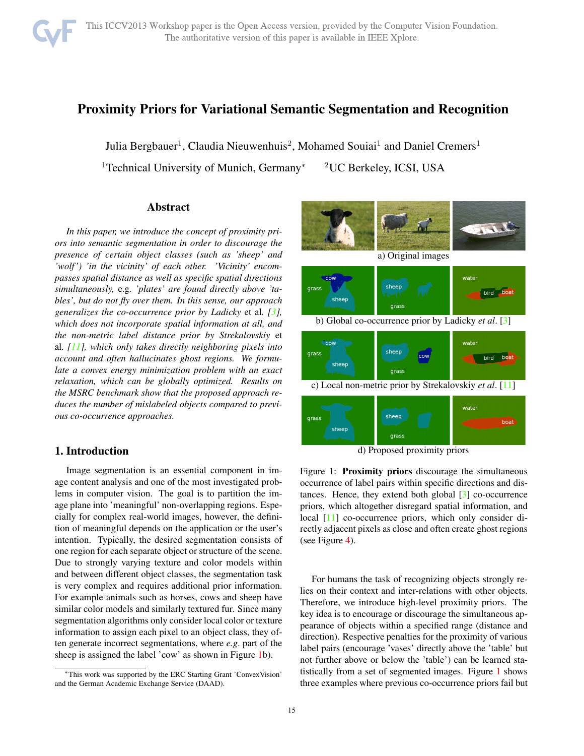# Proximity Priors for Variational Semantic Segmentation and Recognition

Julia Bergbauer<sup>1</sup>, Claudia Nieuwenhuis<sup>2</sup>, Mohamed Souiai<sup>1</sup> and Daniel Cremers<sup>1</sup>

<sup>1</sup>Technical University of Munich, Germany<sup>∗</sup> <sup>2</sup>UC Berkeley, ICSI, USA

# Abstract

*In this paper, we introduce the concept of proximity priors into semantic segmentation in order to discourage the presence of certain object classes (such as 'sheep' and 'wolf ') 'in the vicinity' of each other. 'Vicinity' encompasses spatial distance as well as specific spatial directions simultaneously,* e.g*. 'plates' are found directly above 'tables', but do not fly over them. In this sense, our approach generalizes the co-occurrence prior by Ladicky* et al*. [3], which does not incorporate spatial information at all, and the non-metric label distance prior by Strekalovskiy* et al*. [11], which only takes directly neighboring pixels into account and often hallucinates ghost regions. We formulate a convex energy minimization problem with an exact relaxation, which can be globally optimized. Results on the MSRC benchmark show that the proposed approach reduces the number of mislabeled objects compared to previous co-occurrence approaches.*

# 1. Introduction

Image segmentation is an essential component in image content analysis and one of the most investigated problems in computer vision. The goal is to partition the image plane into 'meaningful' non-overlapping regions. Especially for complex real-world images, however, the definition of meaningful depends on the application or the user's intention. Typically, the desired segmentation consists of one region for each separate object or structure of the scene. Due to strongly varying texture and color models within and between different object classes, the segmentation task is very complex and requires additional prior information. For example animals such as horses, cows and sheep have similar color models and similarly textured fur. Since many segmentation algorithms only consider local color or texture information to assign each pixel to an object class, they often generate incorrect segmentations, where *e.g*. part of the sheep is assigned the label 'cow' as shown in Figure 1b).



d) Proposed proximity priors

Figure 1: Proximity priors discourage the simultaneous occurrence of label pairs within specific directions and distances. Hence, they extend both global [3] co-occurrence priors, which altogether disregard spatial information, and local [11] co-occurrence priors, which only consider directly adjacent pixels as close and often create ghost regions (see Figure 4).

For humans the task of recognizing objects strongly relies on their context and inter-relations with other objects. Therefore, we introduce high-level proximity priors. The key idea is to encourage or discourage the simultaneous appearance of objects within a specified range (distance and direction). Respective penalties for the proximity of various label pairs (encourage 'vases' directly above the 'table' but not further above or below the 'table') can be learned statistically from a set of segmented images. Figure 1 shows three examples where previous co-occurrence priors fail but

<sup>∗</sup>This work was supported by the ERC Starting Grant 'ConvexVision' and the German Academic Exchange Service (DAAD).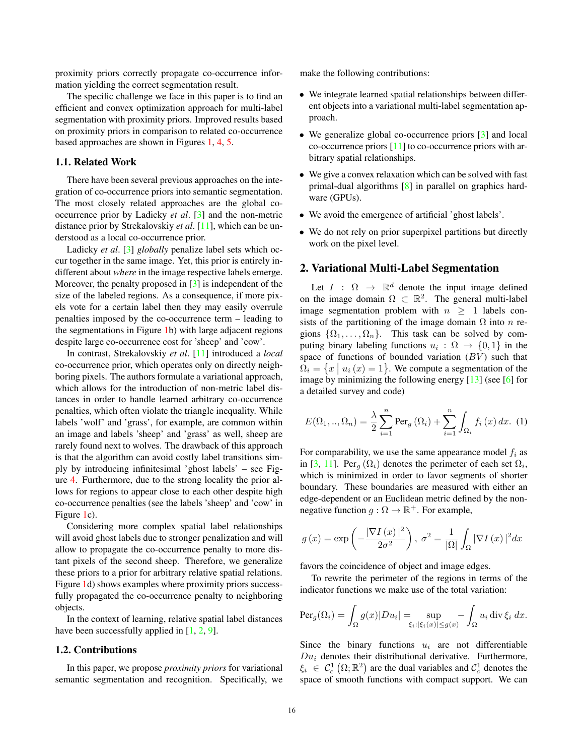proximity priors correctly propagate co-occurrence information yielding the correct segmentation result.

The specific challenge we face in this paper is to find an efficient and convex optimization approach for multi-label segmentation with proximity priors. Improved results based on proximity priors in comparison to related co-occurrence based approaches are shown in Figures 1, 4, 5.

#### 1.1. Related Work

There have been several previous approaches on the integration of co-occurrence priors into semantic segmentation. The most closely related approaches are the global cooccurrence prior by Ladicky *et al*. [3] and the non-metric distance prior by Strekalovskiy *et al*. [11], which can be understood as a local co-occurrence prior.

Ladicky *et al*. [3] *globally* penalize label sets which occur together in the same image. Yet, this prior is entirely indifferent about *where* in the image respective labels emerge. Moreover, the penalty proposed in [3] is independent of the size of the labeled regions. As a consequence, if more pixels vote for a certain label then they may easily overrule penalties imposed by the co-occurrence term – leading to the segmentations in Figure 1b) with large adjacent regions despite large co-occurrence cost for 'sheep' and 'cow'.

In contrast, Strekalovskiy *et al*. [11] introduced a *local* co-occurrence prior, which operates only on directly neighboring pixels. The authors formulate a variational approach, which allows for the introduction of non-metric label distances in order to handle learned arbitrary co-occurrence penalties, which often violate the triangle inequality. While labels 'wolf' and 'grass', for example, are common within an image and labels 'sheep' and 'grass' as well, sheep are rarely found next to wolves. The drawback of this approach is that the algorithm can avoid costly label transitions simply by introducing infinitesimal 'ghost labels' – see Figure 4. Furthermore, due to the strong locality the prior allows for regions to appear close to each other despite high co-occurrence penalties (see the labels 'sheep' and 'cow' in Figure 1c).

Considering more complex spatial label relationships will avoid ghost labels due to stronger penalization and will allow to propagate the co-occurrence penalty to more distant pixels of the second sheep. Therefore, we generalize these priors to a prior for arbitrary relative spatial relations. Figure 1d) shows examples where proximity priors successfully propagated the co-occurrence penalty to neighboring objects.

In the context of learning, relative spatial label distances have been successfully applied in [1, 2, 9].

#### 1.2. Contributions

In this paper, we propose *proximity priors* for variational semantic segmentation and recognition. Specifically, we make the following contributions:

- We integrate learned spatial relationships between different objects into a variational multi-label segmentation approach.
- We generalize global co-occurrence priors [3] and local co-occurrence priors [11] to co-occurrence priors with arbitrary spatial relationships.
- We give a convex relaxation which can be solved with fast primal-dual algorithms [8] in parallel on graphics hardware (GPUs).
- We avoid the emergence of artificial 'ghost labels'.
- We do not rely on prior superpixel partitions but directly work on the pixel level.

#### 2. Variational Multi-Label Segmentation

Let  $I : \Omega \rightarrow \mathbb{R}^d$  denote the input image defined on the image domain  $\Omega \subset \mathbb{R}^2$ . The general multi-label image segmentation problem with  $n \geq 1$  labels consists of the partitioning of the image domain  $\Omega$  into n regions  $\{\Omega_1,\ldots,\Omega_n\}$ . This task can be solved by computing binary labeling functions  $u_i : \Omega \to \{0,1\}$  in the space of functions of bounded variation  $(BV)$  such that  $\Omega_i = \{x \mid u_i(x) = 1\}$ . We compute a segmentation of the image by minimizing the following energy [13] (see [6] for a detailed survey and code)

$$
E(\Omega_1,..,\Omega_n) = \frac{\lambda}{2} \sum_{i=1}^n \text{Per}_g(\Omega_i) + \sum_{i=1}^n \int_{\Omega_i} f_i(x) dx. (1)
$$

For comparability, we use the same appearance model  $f_i$  as in [3, 11]. Per<sub>q</sub>  $(\Omega_i)$  denotes the perimeter of each set  $\Omega_i$ , which is minimized in order to favor segments of shorter boundary. These boundaries are measured with either an edge-dependent or an Euclidean metric defined by the nonnegative function  $q : \Omega \to \mathbb{R}^+$ . For example,

$$
g(x) = \exp\left(-\frac{|\nabla I(x)|^2}{2\sigma^2}\right), \sigma^2 = \frac{1}{|\Omega|} \int_{\Omega} |\nabla I(x)|^2 dx
$$

favors the coincidence of object and image edges.

To rewrite the perimeter of the regions in terms of the indicator functions we make use of the total variation:

$$
\operatorname{Per}_g(\Omega_i) = \int_{\Omega} g(x) |Du_i| = \sup_{\xi_i : |\xi_i(x)| \le g(x)} - \int_{\Omega} u_i \operatorname{div} \xi_i \, dx.
$$

Since the binary functions  $u_i$  are not differentiable  $Du_i$  denotes their distributional derivative. Furthermore,  $\xi_i \in C_c^1(\Omega;\mathbb{R}^2)$  are the dual variables and  $C_c^1$  denotes the space of smooth functions with compact support. We can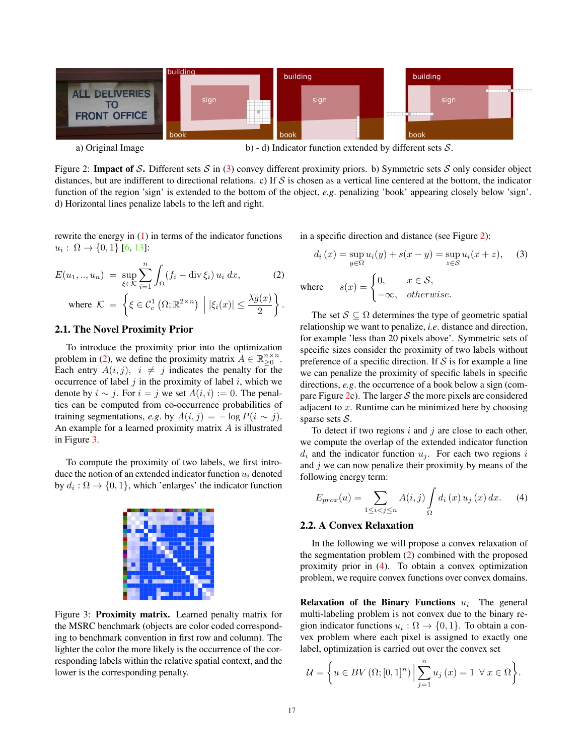

Figure 2: Impact of S. Different sets S in (3) convey different proximity priors. b) Symmetric sets S only consider object distances, but are indifferent to directional relations. c) If  $S$  is chosen as a vertical line centered at the bottom, the indicator function of the region 'sign' is extended to the bottom of the object, *e.g*. penalizing 'book' appearing closely below 'sign'. d) Horizontal lines penalize labels to the left and right.

rewrite the energy in  $(1)$  in terms of the indicator functions  $u_i : \Omega \to \{0,1\}$  [6, 13]:

$$
E(u_1, ..., u_n) = \sup_{\xi \in \mathcal{K}} \sum_{i=1}^n \int_{\Omega} (f_i - \operatorname{div} \xi_i) u_i dx, \tag{2}
$$

where 
$$
\mathcal{K} = \left\{ \xi \in C_c^1 \left( \Omega; \mathbb{R}^{2 \times n} \right) \middle| |\xi_i(x)| \leq \frac{\lambda g(x)}{2} \right\}.
$$

## 2.1. The Novel Proximity Prior

To introduce the proximity prior into the optimization problem in (2), we define the proximity matrix  $A \in \mathbb{R}_{\geq 0}^{n \times n}$ . Each entry  $A(i, j)$ ,  $i \neq j$  indicates the penalty for the occurrence of label  $j$  in the proximity of label  $i$ , which we denote by  $i \sim j$ . For  $i = j$  we set  $A(i, i) := 0$ . The penalties can be computed from co-occurrence probabilities of training segmentations, *e.g.* by  $A(i, j) = -\log P(i \sim j)$ . An example for a learned proximity matrix A is illustrated in Figure 3.

To compute the proximity of two labels, we first introduce the notion of an extended indicator function  $u_i$  denoted by  $d_i : \Omega \to \{0, 1\}$ , which 'enlarges' the indicator function



Figure 3: Proximity matrix. Learned penalty matrix for the MSRC benchmark (objects are color coded corresponding to benchmark convention in first row and column). The lighter the color the more likely is the occurrence of the corresponding labels within the relative spatial context, and the lower is the corresponding penalty.

in a specific direction and distance (see Figure 2):

$$
d_i(x) = \sup_{y \in \Omega} u_i(y) + s(x - y) = \sup_{z \in S} u_i(x + z), \quad (3)
$$
  
where 
$$
s(x) = \begin{cases} 0, & x \in S, \\ -\infty, & otherwise. \end{cases}
$$

The set  $S \subseteq \Omega$  determines the type of geometric spatial relationship we want to penalize, *i.e*. distance and direction, for example 'less than 20 pixels above'. Symmetric sets of specific sizes consider the proximity of two labels without preference of a specific direction. If  $S$  is for example a line we can penalize the proximity of specific labels in specific directions, *e.g.* the occurrence of a book below a sign (compare Figure 2c). The larger  $S$  the more pixels are considered adjacent to  $x$ . Runtime can be minimized here by choosing sparse sets  $S$ .

To detect if two regions  $i$  and  $j$  are close to each other, we compute the overlap of the extended indicator function  $d_i$  and the indicator function  $u_i$ . For each two regions i and  $j$  we can now penalize their proximity by means of the following energy term:

$$
E_{prox}(u) = \sum_{1 \le i < j \le n} A(i, j) \int_{\Omega} d_i(x) u_j(x) dx. \tag{4}
$$

### 2.2. A Convex Relaxation

In the following we will propose a convex relaxation of the segmentation problem (2) combined with the proposed proximity prior in (4). To obtain a convex optimization problem, we require convex functions over convex domains.

Relaxation of the Binary Functions  $u_i$  The general multi-labeling problem is not convex due to the binary region indicator functions  $u_i : \Omega \to \{0, 1\}$ . To obtain a convex problem where each pixel is assigned to exactly one label, optimization is carried out over the convex set

$$
\mathcal{U} = \left\{ u \in BV\left(\Omega; [0,1]^n\right) \Big| \sum_{j=1}^n u_j\left(x\right) = 1 \ \forall x \in \Omega \right\}.
$$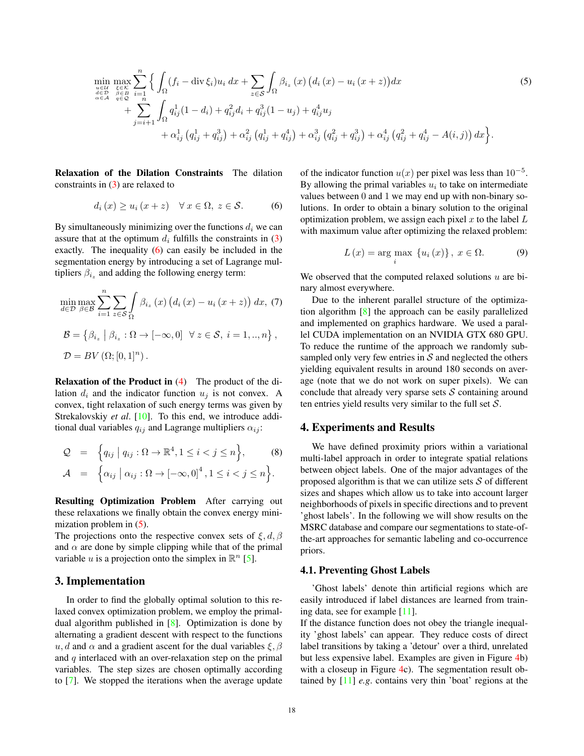$$
\min_{\substack{u \in U \\ \alpha \in D \\ \alpha \in A}} \max_{\substack{\xi \in K \\ \eta \in D \\ \eta \in D}} \left\{ \int_{\Omega} (f_i - \text{div} \xi_i) u_i \, dx + \sum_{z \in S} \int_{\Omega} \beta_{i_z} (x) \left( d_i (x) - u_i (x + z) \right) dx \right. \tag{5}
$$
\n
$$
+ \sum_{j=i+1}^{u \in U} \int_{\Omega} q_{ij}^1 (1 - d_i) + q_{ij}^2 d_i + q_{ij}^3 (1 - u_j) + q_{ij}^4 u_j \right. \left. + \alpha_{ij}^1 \left( q_{ij}^1 + q_{ij}^3 \right) + \alpha_{ij}^2 \left( q_{ij}^1 + q_{ij}^4 \right) + \alpha_{ij}^3 \left( q_{ij}^2 + q_{ij}^3 \right) + \alpha_{ij}^4 \left( q_{ij}^2 + q_{ij}^4 - A(i, j) \right) dx \right\}.
$$

Relaxation of the Dilation Constraints The dilation constraints in (3) are relaxed to

$$
d_i(x) \ge u_i(x+z) \quad \forall \, x \in \Omega, \, z \in \mathcal{S}.\tag{6}
$$

By simultaneously minimizing over the functions  $d_i$  we can assure that at the optimum  $d_i$  fulfills the constraints in (3) exactly. The inequality (6) can easily be included in the segmentation energy by introducing a set of Lagrange multipliers  $\beta_{i_z}$  and adding the following energy term:

$$
\min_{d \in \mathcal{D}} \max_{\beta \in \mathcal{B}} \sum_{i=1}^{n} \sum_{z \in \mathcal{S}} \int_{\Omega} \beta_{i_z}(x) (d_i(x) - u_i(x+z)) dx, (7)
$$

$$
\mathcal{B} = \{ \beta_{i_z} \mid \beta_{i_z} : \Omega \to [-\infty, 0] \quad \forall z \in \mathcal{S}, i = 1, ..., n \},
$$

$$
\mathcal{D} = BV(\Omega; [0, 1]^n).
$$

Relaxation of the Product in (4) The product of the dilation  $d_i$  and the indicator function  $u_j$  is not convex. A convex, tight relaxation of such energy terms was given by Strekalovskiy et al. [10]. To this end, we introduce additional dual variables  $q_{ij}$  and Lagrange multipliers  $\alpha_{ij}$ :

$$
Q = \left\{ q_{ij} \mid q_{ij} : \Omega \to \mathbb{R}^4, 1 \leq i < j \leq n \right\}, \qquad (8)
$$
\n
$$
A = \left\{ \alpha_{ij} \mid \alpha_{ij} : \Omega \to [-\infty, 0]^4, 1 \leq i < j \leq n \right\}.
$$

Resulting Optimization Problem After carrying out these relaxations we finally obtain the convex energy minimization problem in (5).

The projections onto the respective convex sets of  $\xi, d, \beta$ and  $\alpha$  are done by simple clipping while that of the primal variable u is a projection onto the simplex in  $\mathbb{R}^n$  [5].

#### 3. Implementation

In order to find the globally optimal solution to this relaxed convex optimization problem, we employ the primaldual algorithm published in [8]. Optimization is done by alternating a gradient descent with respect to the functions u, d and  $\alpha$  and a gradient ascent for the dual variables  $\xi$ ,  $\beta$ and q interlaced with an over-relaxation step on the primal variables. The step sizes are chosen optimally according to [7]. We stopped the iterations when the average update of the indicator function  $u(x)$  per pixel was less than 10<sup>-5</sup>. By allowing the primal variables  $u_i$  to take on intermediate values between 0 and 1 we may end up with non-binary solutions. In order to obtain a binary solution to the original optimization problem, we assign each pixel  $x$  to the label  $L$ with maximum value after optimizing the relaxed problem:

$$
L(x) = \arg\max_{i} \{u_i(x)\}, x \in \Omega.
$$
 (9)

We observed that the computed relaxed solutions  $u$  are binary almost everywhere.

Due to the inherent parallel structure of the optimization algorithm [8] the approach can be easily parallelized and implemented on graphics hardware. We used a parallel CUDA implementation on an NVIDIA GTX 680 GPU. To reduce the runtime of the approach we randomly subsampled only very few entries in  $S$  and neglected the others yielding equivalent results in around 180 seconds on average (note that we do not work on super pixels). We can conclude that already very sparse sets  $S$  containing around ten entries yield results very similar to the full set  $S$ .

#### 4. Experiments and Results

We have defined proximity priors within a variational multi-label approach in order to integrate spatial relations between object labels. One of the major advantages of the proposed algorithm is that we can utilize sets  $S$  of different sizes and shapes which allow us to take into account larger neighborhoods of pixels in specific directions and to prevent 'ghost labels'. In the following we will show results on the MSRC database and compare our segmentations to state-ofthe-art approaches for semantic labeling and co-occurrence priors.

#### 4.1. Preventing Ghost Labels

'Ghost labels' denote thin artificial regions which are easily introduced if label distances are learned from training data, see for example [11].

If the distance function does not obey the triangle inequality 'ghost labels' can appear. They reduce costs of direct label transitions by taking a 'detour' over a third, unrelated but less expensive label. Examples are given in Figure 4b) with a closeup in Figure 4c). The segmentation result obtained by [11] *e.g*. contains very thin 'boat' regions at the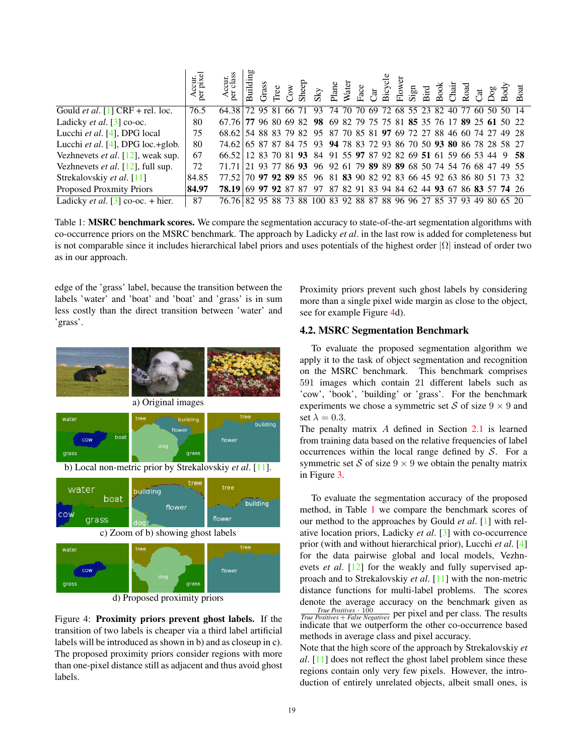|                                                | Accur.<br>per pixel | S<br>gur.<br>Jas<br>∢ັ⊵                                               | Building | Grass |  |  |  |  |  |  |  |  |  |  |
|------------------------------------------------|---------------------|-----------------------------------------------------------------------|----------|-------|--|--|--|--|--|--|--|--|--|--|
| Gould <i>et al.</i> [1] CRF + rel. loc.        | 76.5                | 64.38 72 95 81 66 71 93 74 70 70 69 72 68 55 23 82 40 77 60 50 50 14  |          |       |  |  |  |  |  |  |  |  |  |  |
| Ladicky <i>et al.</i> $\lceil 3 \rceil$ co-oc. | 80                  | 67.76 77 96 80 69 82 98 69 82 79 75 75 81 85 35 76 17 89 25 61 50 22  |          |       |  |  |  |  |  |  |  |  |  |  |
| Lucchi et al. [4], DPG local                   | 75                  | 68.62 54 88 83 79 82 95 87 70 85 81 97 69 72 27 88 46 60 74 27 49 28  |          |       |  |  |  |  |  |  |  |  |  |  |
| Lucchi <i>et al.</i> [4], DPG loc.+glob.       | 80                  | 74.62 65 87 87 84 75 93 94 78 83 72 93 86 70 50 93 80 86 78 28 58 27  |          |       |  |  |  |  |  |  |  |  |  |  |
| Vezhnevets <i>et al.</i> [12], weak sup.       | 67                  | 66.52 12 83 70 81 93 84 91 55 97 87 92 82 69 51 61 59 66 53 44 9 58   |          |       |  |  |  |  |  |  |  |  |  |  |
| Vezhnevets <i>et al.</i> $[12]$ , full sup.    | 72                  | 71.71 21 93 77 86 93 96 92 61 79 89 89 89 68 50 74 54 76 68 47 49 55  |          |       |  |  |  |  |  |  |  |  |  |  |
| Strekalovskiy et al. [11]                      | 84.85               | 77.52 70 97 92 89 85 96 81 83 90 82 92 83 66 45 92 63 86 80 51 73 32  |          |       |  |  |  |  |  |  |  |  |  |  |
| <b>Proposed Proxmity Priors</b>                | 84.97               | 78.19 69 77 92 87 87 97 87 82 91 83 94 84 62 44 93 67 86 83 57 74 26  |          |       |  |  |  |  |  |  |  |  |  |  |
| Ladicky <i>et al.</i> [3] co-oc. + hier.       | 87                  | 76.76 82 95 88 73 88 100 83 92 88 87 88 96 96 27 85 37 93 49 80 65 20 |          |       |  |  |  |  |  |  |  |  |  |  |

Table 1: MSRC benchmark scores. We compare the segmentation accuracy to state-of-the-art segmentation algorithms with co-occurrence priors on the MSRC benchmark. The approach by Ladicky *et al*. in the last row is added for completeness but is not comparable since it includes hierarchical label priors and uses potentials of the highest order  $|\Omega|$  instead of order two as in our approach.

edge of the 'grass' label, because the transition between the labels 'water' and 'boat' and 'boat' and 'grass' is in sum less costly than the direct transition between 'water' and 'grass'.



d) Proposed proximity priors

Figure 4: Proximity priors prevent ghost labels. If the transition of two labels is cheaper via a third label artificial labels will be introduced as shown in b) and as closeup in c). The proposed proximity priors consider regions with more than one-pixel distance still as adjacent and thus avoid ghost labels.

Proximity priors prevent such ghost labels by considering more than a single pixel wide margin as close to the object, see for example Figure 4d).

## 4.2. MSRC Segmentation Benchmark

To evaluate the proposed segmentation algorithm we apply it to the task of object segmentation and recognition on the MSRC benchmark. This benchmark comprises 591 images which contain 21 different labels such as 'cow', 'book', 'building' or 'grass'. For the benchmark experiments we chose a symmetric set S of size  $9 \times 9$  and set  $\lambda = 0.3$ .

The penalty matrix A defined in Section 2.1 is learned from training data based on the relative frequencies of label occurrences within the local range defined by  $S$ . For a symmetric set S of size  $9 \times 9$  we obtain the penalty matrix in Figure 3.

To evaluate the segmentation accuracy of the proposed method, in Table 1 we compare the benchmark scores of our method to the approaches by Gould *et al*. [1] with relative location priors, Ladicky *et al*. [3] with co-occurrence prior (with and without hierarchical prior), Lucchi *et al*. [4] for the data pairwise global and local models, Vezhnevets *et al.* [12] for the weakly and fully supervised approach and to Strekalovskiy *et al*. [11] with the non-metric distance functions for multi-label problems. The scores denote the average accuracy on the benchmark given as *True Positives* · 100 *True Positives* <sup>+</sup> *False Negatives* per pixel and per class. The results indicate that we outperform the other co-occurrence based methods in average class and pixel accuracy.

Note that the high score of the approach by Strekalovskiy *et al*. [11] does not reflect the ghost label problem since these regions contain only very few pixels. However, the introduction of entirely unrelated objects, albeit small ones, is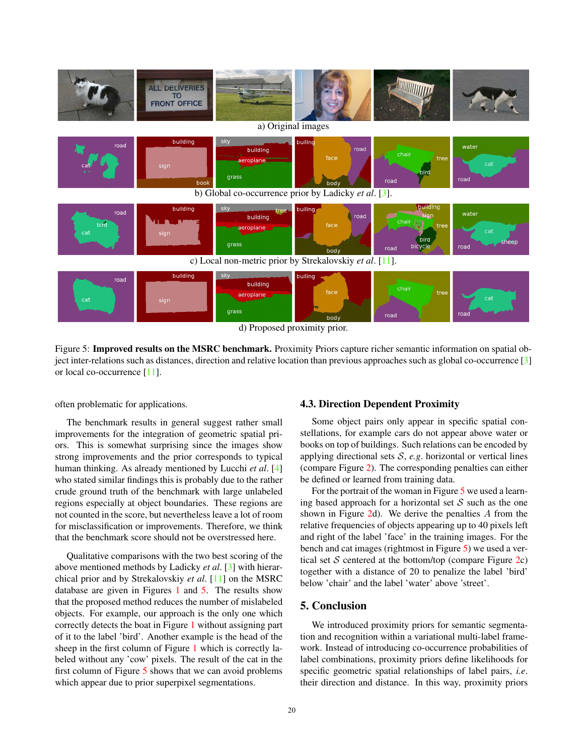

Figure 5: Improved results on the MSRC benchmark. Proximity Priors capture richer semantic information on spatial object inter-relations such as distances, direction and relative location than previous approaches such as global co-occurrence [3] or local co-occurrence [11].

often problematic for applications.

The benchmark results in general suggest rather small improvements for the integration of geometric spatial priors. This is somewhat surprising since the images show strong improvements and the prior corresponds to typical human thinking. As already mentioned by Lucchi *et al*. [4] who stated similar findings this is probably due to the rather crude ground truth of the benchmark with large unlabeled regions especially at object boundaries. These regions are not counted in the score, but nevertheless leave a lot of room for misclassification or improvements. Therefore, we think that the benchmark score should not be overstressed here.

Qualitative comparisons with the two best scoring of the above mentioned methods by Ladicky *et al*. [3] with hierarchical prior and by Strekalovskiy *et al*. [11] on the MSRC database are given in Figures 1 and 5. The results show that the proposed method reduces the number of mislabeled objects. For example, our approach is the only one which correctly detects the boat in Figure 1 without assigning part of it to the label 'bird'. Another example is the head of the sheep in the first column of Figure 1 which is correctly labeled without any 'cow' pixels. The result of the cat in the first column of Figure 5 shows that we can avoid problems which appear due to prior superpixel segmentations.

#### 4.3. Direction Dependent Proximity

Some object pairs only appear in specific spatial constellations, for example cars do not appear above water or books on top of buildings. Such relations can be encoded by applying directional sets  $S$ ,  $e.g.$  horizontal or vertical lines (compare Figure 2). The corresponding penalties can either be defined or learned from training data.

For the portrait of the woman in Figure 5 we used a learning based approach for a horizontal set  $S$  such as the one shown in Figure 2d). We derive the penalties A from the relative frequencies of objects appearing up to 40 pixels left and right of the label 'face' in the training images. For the bench and cat images (rightmost in Figure 5) we used a vertical set  $S$  centered at the bottom/top (compare Figure 2c) together with a distance of 20 to penalize the label 'bird' below 'chair' and the label 'water' above 'street'.

# 5. Conclusion

We introduced proximity priors for semantic segmentation and recognition within a variational multi-label framework. Instead of introducing co-occurrence probabilities of label combinations, proximity priors define likelihoods for specific geometric spatial relationships of label pairs, *i.e*. their direction and distance. In this way, proximity priors